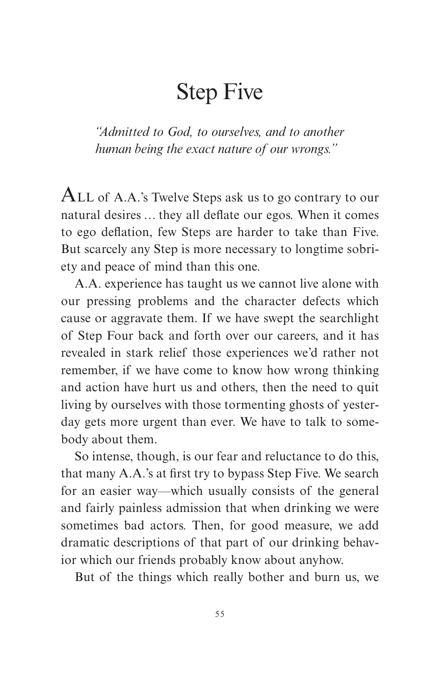## Step Five

*"Admitted to God, to ourselves, and to another human being the exact nature of our wrongs."*

ALL of A.A.'s Twelve Steps ask us to go contrary to our natural desires ... they all deflate our egos. When it comes to ego deflation, few Steps are harder to take than Five. But scarcely any Step is more necessary to longtime sobriety and peace of mind than this one.

A.A. experience has taught us we cannot live alone with our pressing problems and the character defects which cause or aggravate them. If we have swept the searchlight of Step Four back and forth over our careers, and it has revealed in stark relief those experiences we'd rather not remember, if we have come to know how wrong thinking and action have hurt us and others, then the need to quit living by ourselves with those tormenting ghosts of yesterday gets more urgent than ever. We have to talk to somebody about them.

So intense, though, is our fear and reluctance to do this, that many A.A.'s at first try to bypass Step Five. We search for an easier way—which usually consists of the general and fairly painless admission that when drinking we were sometimes bad actors. Then, for good measure, we add dramatic descriptions of that part of our drinking behavior which our friends probably know about anyhow.

But of the things which really bother and burn us, we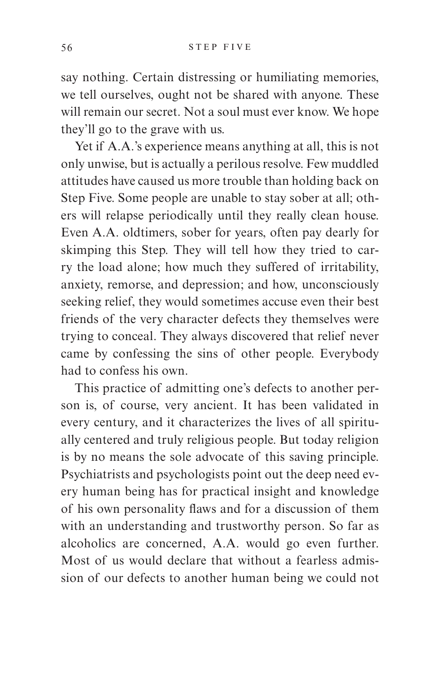say nothing. Certain distressing or humiliating memories, we tell ourselves, ought not be shared with anyone. These will remain our secret. Not a soul must ever know. We hope they'll go to the grave with us.

Yet if A.A.'s experience means anything at all, this is not only unwise, but is actually a perilous resolve. Few muddled attitudes have caused us more trouble than holding back on Step Five. Some people are unable to stay sober at all; others will relapse periodically until they really clean house. Even A.A. oldtimers, sober for years, often pay dearly for skimping this Step. They will tell how they tried to carry the load alone; how much they suffered of irritability, anxiety, remorse, and depression; and how, unconsciously seeking relief, they would sometimes accuse even their best friends of the very character defects they themselves were trying to conceal. They always discovered that relief never came by confessing the sins of other people. Everybody had to confess his own.

This practice of admitting one's defects to another person is, of course, very ancient. It has been validated in every century, and it characterizes the lives of all spiritually centered and truly religious people. But today religion is by no means the sole advocate of this saving principle. Psychiatrists and psychologists point out the deep need every human being has for practical insight and knowledge of his own personality flaws and for a discussion of them with an understanding and trustworthy person. So far as alcoholics are concerned, A.A. would go even further. Most of us would declare that without a fearless admission of our defects to another human being we could not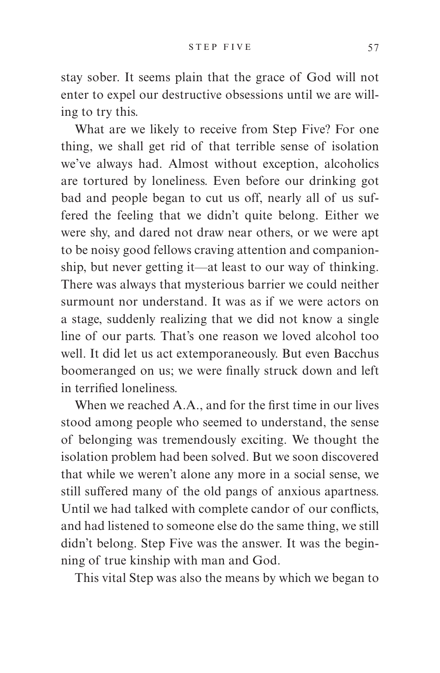stay sober. It seems plain that the grace of God will not enter to expel our destructive obsessions until we are willing to try this.

What are we likely to receive from Step Five? For one thing, we shall get rid of that terrible sense of isolation we've always had. Almost without exception, alcoholics are tortured by loneliness. Even before our drinking got bad and people began to cut us off, nearly all of us suffered the feeling that we didn't quite belong. Either we were shy, and dared not draw near others, or we were apt to be noisy good fellows craving attention and companionship, but never getting it—at least to our way of thinking. There was always that mysterious barrier we could neither surmount nor understand. It was as if we were actors on a stage, suddenly realizing that we did not know a single line of our parts. That's one reason we loved alcohol too well. It did let us act extemporaneously. But even Bacchus boomeranged on us; we were finally struck down and left in terrified loneliness.

When we reached A.A., and for the first time in our lives stood among people who seemed to understand, the sense of belonging was tremendously exciting. We thought the isolation problem had been solved. But we soon discovered that while we weren't alone any more in a social sense, we still suffered many of the old pangs of anxious apartness. Until we had talked with complete candor of our conflicts, and had listened to someone else do the same thing, we still didn't belong. Step Five was the answer. It was the beginning of true kinship with man and God.

This vital Step was also the means by which we began to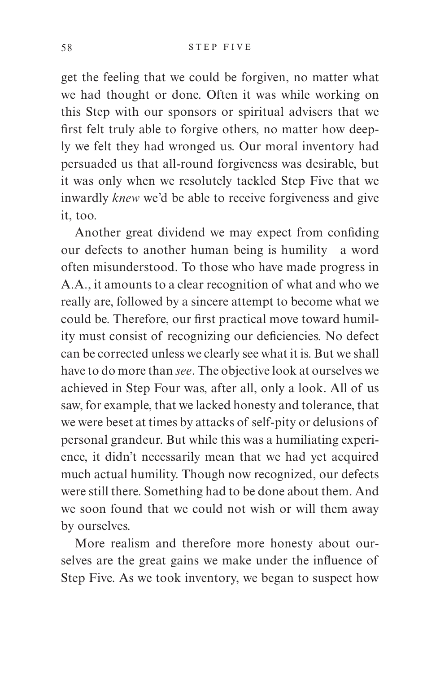get the feeling that we could be forgiven, no matter what we had thought or done. Often it was while working on this Step with our sponsors or spiritual advisers that we first felt truly able to forgive others, no matter how deeply we felt they had wronged us. Our moral inventory had persuaded us that all-round forgiveness was desirable, but it was only when we resolutely tackled Step Five that we inwardly *knew* we'd be able to receive forgiveness and give it, too.

Another great dividend we may expect from confiding our defects to another human being is humility—a word often misunderstood. To those who have made progress in A.A., it amounts to a clear recognition of what and who we really are, followed by a sincere attempt to become what we could be. Therefore, our first practical move toward humility must consist of recognizing our deficiencies. No defect can be corrected unless we clearly see what it is. But we shall have to do more than *see*. The objective look at ourselves we achieved in Step Four was, after all, only a look. All of us saw, for example, that we lacked honesty and tolerance, that we were beset at times by attacks of self-pity or delusions of personal grandeur. But while this was a humiliating experience, it didn't necessarily mean that we had yet acquired much actual humility. Though now recognized, our defects were still there. Something had to be done about them. And we soon found that we could not wish or will them away by ourselves.

More realism and therefore more honesty about ourselves are the great gains we make under the influence of Step Five. As we took inventory, we began to suspect how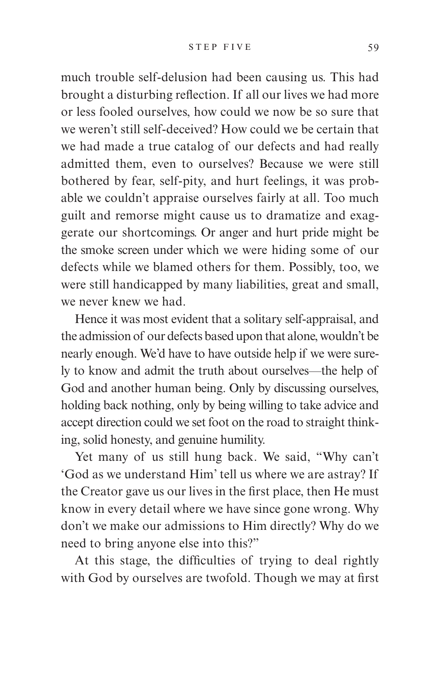much trouble self-delusion had been causing us. This had brought a disturbing reflection. If all our lives we had more or less fooled ourselves, how could we now be so sure that we weren't still self-deceived? How could we be certain that we had made a true catalog of our defects and had really admitted them, even to ourselves? Because we were still bothered by fear, self-pity, and hurt feelings, it was probable we couldn't appraise ourselves fairly at all. Too much guilt and remorse might cause us to dramatize and exaggerate our shortcomings. Or anger and hurt pride might be the smoke screen under which we were hiding some of our defects while we blamed others for them. Possibly, too, we were still handicapped by many liabilities, great and small, we never knew we had.

Hence it was most evident that a solitary self-appraisal, and the admission of our defects based upon that alone, wouldn't be nearly enough. We'd have to have outside help if we were surely to know and admit the truth about ourselves—the help of God and another human being. Only by discussing ourselves, holding back nothing, only by being willing to take advice and accept direction could we set foot on the road to straight thinking, solid honesty, and genuine humility.

Yet many of us still hung back. We said, "Why can't 'God as we understand Him' tell us where we are astray? If the Creator gave us our lives in the first place, then He must know in every detail where we have since gone wrong. Why don't we make our admissions to Him directly? Why do we need to bring anyone else into this?"

At this stage, the difficulties of trying to deal rightly with God by ourselves are twofold. Though we may at first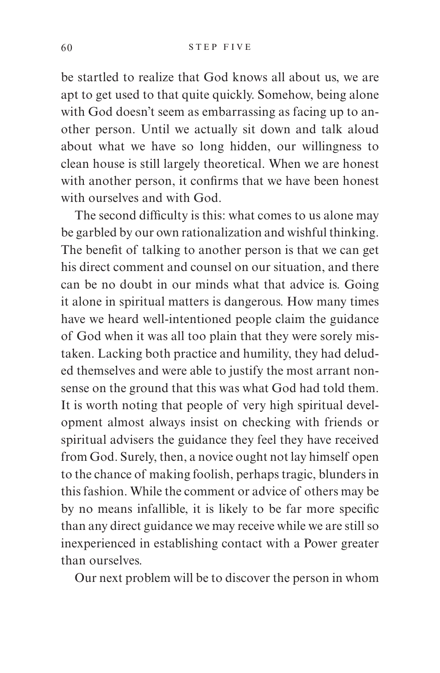be startled to realize that God knows all about us, we are apt to get used to that quite quickly. Somehow, being alone with God doesn't seem as embarrassing as facing up to another person. Until we actually sit down and talk aloud about what we have so long hidden, our willingness to clean house is still largely theoretical. When we are honest with another person, it confirms that we have been honest with ourselves and with God.

The second difficulty is this: what comes to us alone may be garbled by our own rationalization and wishful thinking. The benefit of talking to another person is that we can get his direct comment and counsel on our situation, and there can be no doubt in our minds what that advice is. Going it alone in spiritual matters is dangerous. How many times have we heard well-intentioned people claim the guidance of God when it was all too plain that they were sorely mistaken. Lacking both practice and humility, they had deluded themselves and were able to justify the most arrant nonsense on the ground that this was what God had told them. It is worth noting that people of very high spiritual development almost always insist on checking with friends or spiritual advisers the guidance they feel they have received from God. Surely, then, a novice ought not lay himself open to the chance of making foolish, perhaps tragic, blunders in this fashion. While the comment or advice of others may be by no means infallible, it is likely to be far more specific than any direct guidance we may receive while we are still so inexperienced in establishing contact with a Power greater than ourselves.

Our next problem will be to discover the person in whom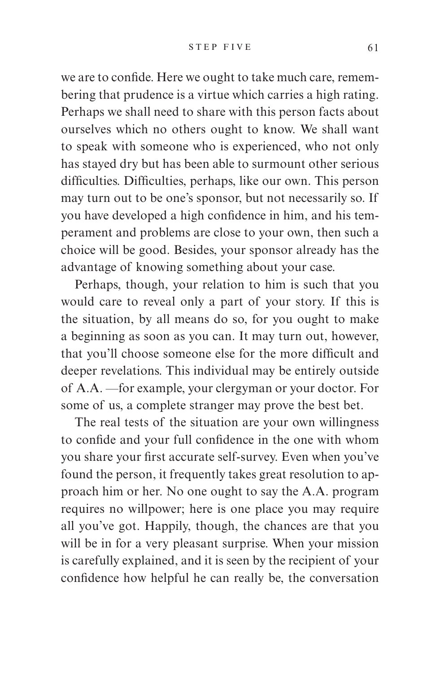we are to confide. Here we ought to take much care, remembering that prudence is a virtue which carries a high rating. Perhaps we shall need to share with this person facts about ourselves which no others ought to know. We shall want to speak with someone who is experienced, who not only has stayed dry but has been able to surmount other serious difficulties. Difficulties, perhaps, like our own. This person may turn out to be one's sponsor, but not necessarily so. If you have developed a high confidence in him, and his temperament and problems are close to your own, then such a choice will be good. Besides, your sponsor already has the advantage of knowing something about your case.

Perhaps, though, your relation to him is such that you would care to reveal only a part of your story. If this is the situation, by all means do so, for you ought to make a beginning as soon as you can. It may turn out, however, that you'll choose someone else for the more difficult and deeper revelations. This individual may be entirely outside of A.A. —for example, your clergyman or your doctor. For some of us, a complete stranger may prove the best bet.

The real tests of the situation are your own willingness to confide and your full confidence in the one with whom you share your first accurate self-survey. Even when you've found the person, it frequently takes great resolution to approach him or her. No one ought to say the A.A. program requires no willpower; here is one place you may require all you've got. Happily, though, the chances are that you will be in for a very pleasant surprise. When your mission is carefully explained, and it is seen by the recipient of your confidence how helpful he can really be, the conversation